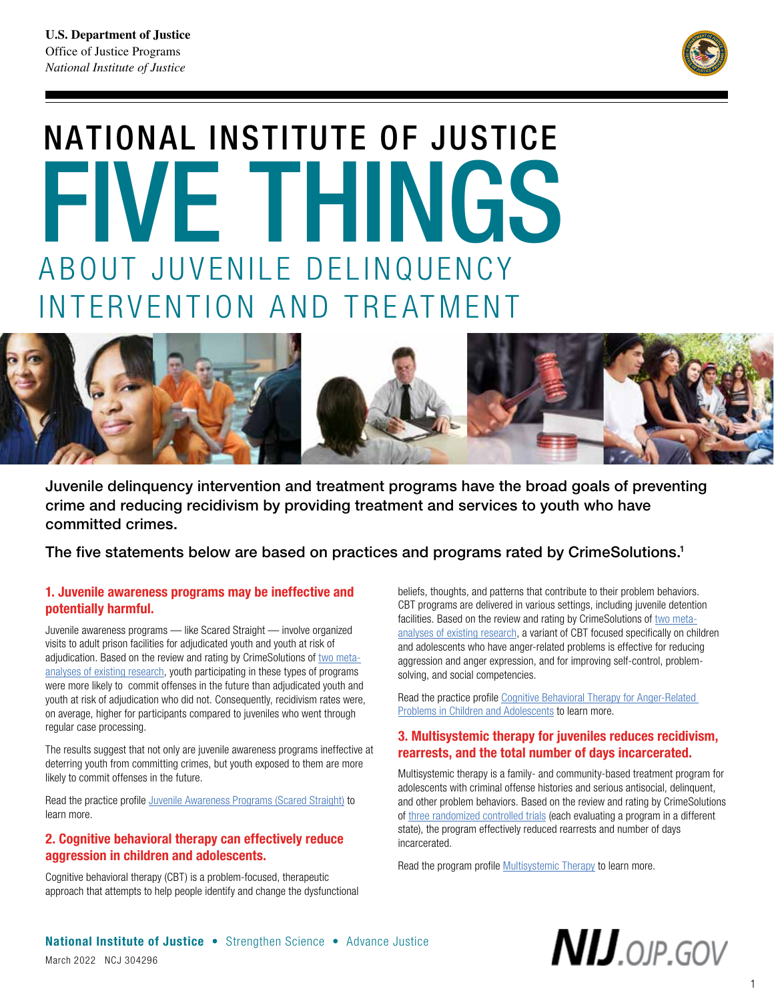

# NATIONAL INSTITUTE OF JUSTICE FIVE THINGS ABOUT JUVENILE DELINQUENCY INTERVENTION AND TREATMENT



Juvenile delinquency intervention and treatment programs have the broad goals of preventing crime and reducing recidivism by providing treatment and services to youth who have committed crimes.

The five statements below are based on practices and programs rated by CrimeSolutions.1

## 1. Juvenile awareness programs may be ineffective and potentially harmful.

Juvenile awareness programs — like Scared Straight — involve organized visits to adult prison facilities for adjudicated youth and youth at risk of adjudication. Based on the review and rating by CrimeSolutions of [two meta](https://crimesolutions.ojp.gov/ratedpractices/4#eb)[analyses of existing research,](https://crimesolutions.ojp.gov/ratedpractices/4#eb) youth participating in these types of programs were more likely to commit offenses in the future than adjudicated youth and youth at risk of adjudication who did not. Consequently, recidivism rates were, on average, higher for participants compared to juveniles who went through regular case processing.

The results suggest that not only are juvenile awareness programs ineffective at deterring youth from committing crimes, but youth exposed to them are more likely to commit offenses in the future.

Read the practice profile [Juvenile Awareness Programs \(Scared Straight\)](https://crimesolutions.ojp.gov/ratedpractices/4) to learn more.

## 2. Cognitive behavioral therapy can effectively reduce aggression in children and adolescents.

Cognitive behavioral therapy (CBT) is a problem-focused, therapeutic approach that attempts to help people identify and change the dysfunctional beliefs, thoughts, and patterns that contribute to their problem behaviors. CBT programs are delivered in various settings, including juvenile detention facilities. Based on the review and rating by CrimeSolutions of [two meta](https://crimesolutions.ojp.gov/ratedpractices/96#eb)[analyses of existing research,](https://crimesolutions.ojp.gov/ratedpractices/96#eb) a variant of CBT focused specifically on children and adolescents who have anger-related problems is effective for reducing aggression and anger expression, and for improving self-control, problemsolving, and social competencies.

Read the practice profile Cognitive Behavioral Therapy for Anger-Related [Problems in Children and Adolescents](https://crimesolutions.ojp.gov/ratedpractices/96) to learn more.

### 3. Multisystemic therapy for juveniles reduces recidivism, rearrests, and the total number of days incarcerated.

Multisystemic therapy is a family- and community-based treatment program for adolescents with criminal offense histories and serious antisocial, delinquent, and other problem behaviors. Based on the review and rating by CrimeSolutions of [three randomized controlled trials](https://crimesolutions.ojp.gov/ratedprograms/192#eb) (each evaluating a program in a different state), the program effectively reduced rearrests and number of days incarcerated.

Read the program profile [Multisystemic Therapy](https://crimesolutions.ojp.gov/ratedprograms/192) to learn more.



 $N$ IJ.OJP.GOV